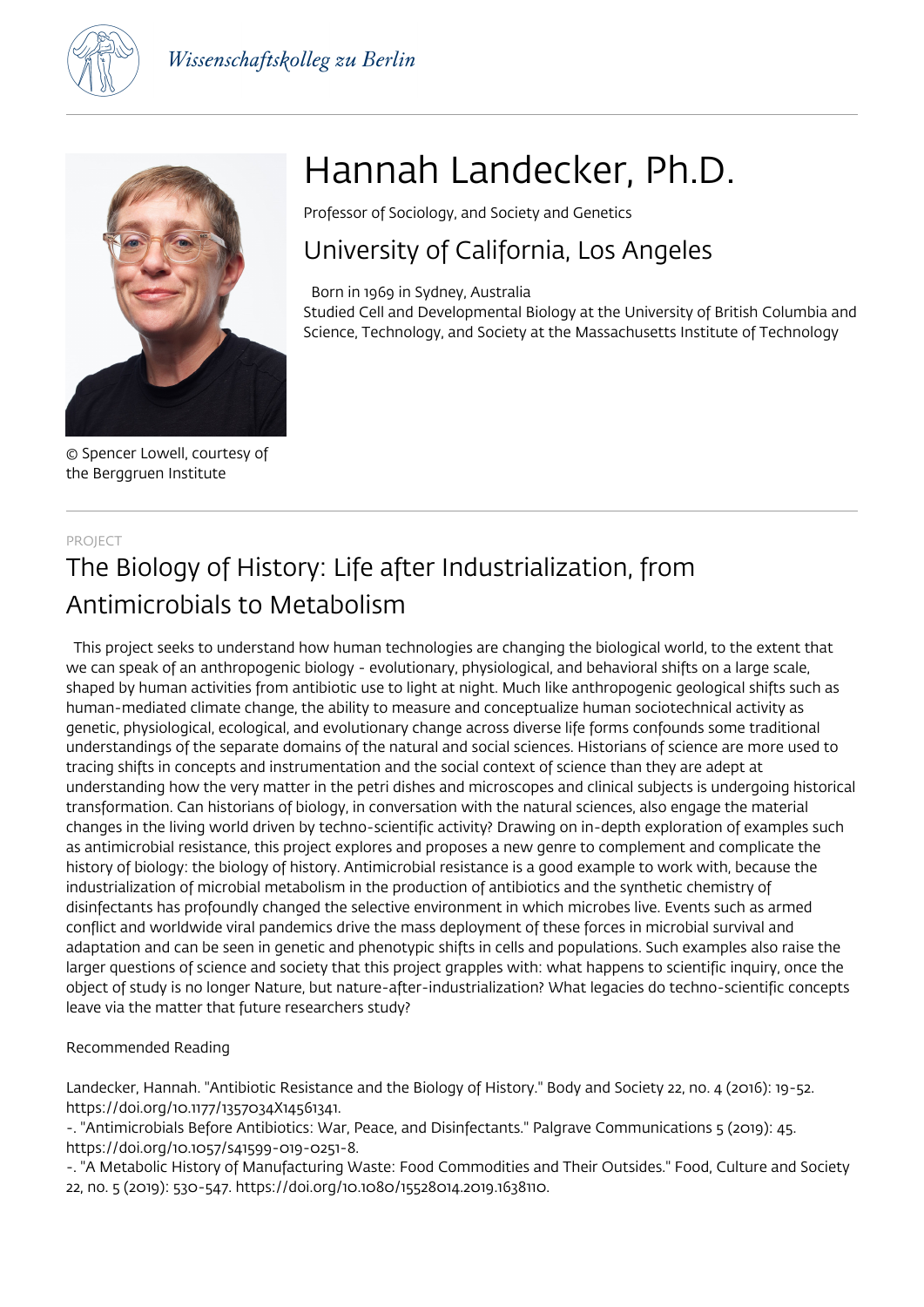



© Spencer Lowell, courtesy of the Berggruen Institute

# Hannah Landecker, Ph.D.

Professor of Sociology, and Society and Genetics

# University of California, Los Angeles

 Born in 1969 in Sydney, Australia Studied Cell and Developmental Biology at the University of British Columbia and Science, Technology, and Society at the Massachusetts Institute of Technology

# PROJECT The Biology of History: Life after Industrialization, from Antimicrobials to Metabolism

 This project seeks to understand how human technologies are changing the biological world, to the extent that we can speak of an anthropogenic biology - evolutionary, physiological, and behavioral shifts on a large scale, shaped by human activities from antibiotic use to light at night. Much like anthropogenic geological shifts such as human-mediated climate change, the ability to measure and conceptualize human sociotechnical activity as genetic, physiological, ecological, and evolutionary change across diverse life forms confounds some traditional understandings of the separate domains of the natural and social sciences. Historians of science are more used to tracing shifts in concepts and instrumentation and the social context of science than they are adept at understanding how the very matter in the petri dishes and microscopes and clinical subjects is undergoing historical transformation. Can historians of biology, in conversation with the natural sciences, also engage the material changes in the living world driven by techno-scientific activity? Drawing on in-depth exploration of examples such as antimicrobial resistance, this project explores and proposes a new genre to complement and complicate the history of biology: the biology of history. Antimicrobial resistance is a good example to work with, because the industrialization of microbial metabolism in the production of antibiotics and the synthetic chemistry of disinfectants has profoundly changed the selective environment in which microbes live. Events such as armed conflict and worldwide viral pandemics drive the mass deployment of these forces in microbial survival and adaptation and can be seen in genetic and phenotypic shifts in cells and populations. Such examples also raise the larger questions of science and society that this project grapples with: what happens to scientific inquiry, once the object of study is no longer Nature, but nature-after-industrialization? What legacies do techno-scientific concepts leave via the matter that future researchers study?

# Recommended Reading

Landecker, Hannah. "Antibiotic Resistance and the Biology of History." Body and Society 22, no. 4 (2016): 19-52. https://doi.org/10.1177/1357034X14561341.

-. "Antimicrobials Before Antibiotics: War, Peace, and Disinfectants." Palgrave Communications 5 (2019): 45. https://doi.org/10.1057/s41599-019-0251-8.

-. "A Metabolic History of Manufacturing Waste: Food Commodities and Their Outsides." Food, Culture and Society 22, no. 5 (2019): 530-547. https://doi.org/10.1080/15528014.2019.1638110.